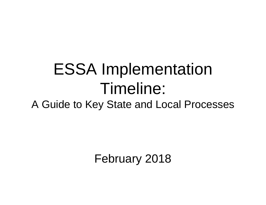# ESSA Implementation Timeline:

A Guide to Key State and Local Processes

February 2018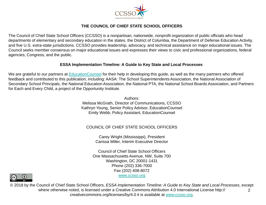

#### **THE COUNCIL OF CHIEF STATE SCHOOL OFFICERS**

The Council of Chief State School Officers (CCSSO) is a nonpartisan, nationwide, nonprofit organization of public officials who head departments of elementary and secondary education in the states, the District of Columbia, the Department of Defense Education Activity, and five U.S. extra-state jurisdictions. CCSSO provides leadership, advocacy, and technical assistance on major educational issues. The Council seeks member consensus on major educational issues and expresses their views to civic and professional organizations, federal agencies, Congress, and the public.

#### **ESSA Implementation Timeline: A Guide to Key State and Local Processes**

We are grateful to our partners at **[EducationCounsel](http://educationcounsel.com/)** for their help in developing this guide, as well as the many partners who offered feedback and contributed to this publication, including: AASA: The School Superintendents Association, the National Association of Secondary School Principals, the National Education Association, the National PTA, the National School Boards Association, and Partners for Each and Every Child, a project of the Opportunity Institute.

> Authors: Melissa McGrath, Director of Communications, CCSSO Kathryn Young, Senior Policy Advisor, EducationCounsel Emily Webb, Policy Assistant, EducationCounsel

#### COUNCIL OF CHIEF STATE SCHOOL OFFICERS

Carey Wright (Mississippi), President Carissa Miller, Interim Executive Director

Council of Chief State School Officers One Massachusetts Avenue, NW, Suite 700 Washington, DC 20001-1431 Phone (202) 336-7000 Fax (202) 408-8072 [www.ccsso.org](http://www.ccsso.org/)



© 2018 by the Council of Chief State School Officers, *ESSA Implementation Timeline: A Guide to Key State and Local Processes*, except where otherwise noted, is licensed under a Creative Commons Attribution 4.0 International License http:// creativecommons.org/licenses/by/4.0 it is available at [www.ccsso.org](http://www.ccsso.org/).  $\mathcal{P}$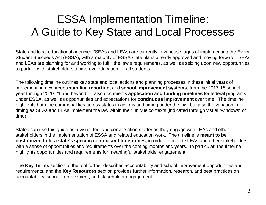### ESSA Implementation Timeline: A Guide to Key State and Local Processes

State and local educational agencies (SEAs and LEAs) are currently in various stages of implementing the Every Student Succeeds Act (ESSA), with a majority of ESSA state plans already approved and moving forward. SEAs and LEAs are planning for and working to fulfill the law's requirements, as well as seizing upon new opportunities to partner with stakeholders to improve education for all students.

The following timeline outlines key state and local actions and planning processes in these initial years of implementing new **accountability, reporting,** and **school improvement systems**, from the 2017-18 school year through 2020-21 and beyond. It also documents **application and funding timelines** for federal programs under ESSA, as well as opportunities and expectations for **continuous improvement** over time. The timeline highlights both the commonalities across states in actions and timing under the law, but also the variation in timing as SEAs and LEAs implement the law within their unique contexts (indicated through visual "windows" of time).

States can use this guide as a visual tool and conversation-starter as they engage with LEAs and other stakeholders in the implementation of ESSA and related education work. The timeline is **meant to be customized to fit a state's specific context and timeframes**, in order to provide LEAs and other stakeholders with a sense of opportunities and requirements over the coming months and years. In particular, the timeline highlights opportunities and requirements for meaningful stakeholder engagement.

The **Key Terms** section of the tool further describes accountability and school improvement opportunities and requirements, and the **Key Resources** section provides further information, research, and best practices on accountability, school improvement, and stakeholder engagement.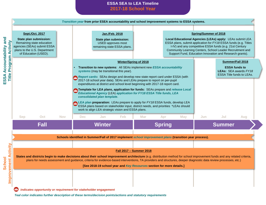**ESSA SEA to LEA Timeline 2017-18 School Year**



*Teal color indicates further description of these terms/decision points/actions and statutory requirements*

**School** 

**ESSA Accountability and** 

ESSA

Accountability and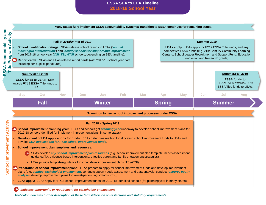#### **ESSA SEA to LEA Timeline 2018-19 School Year**

| Fall of 2018/Winter of 2019<br>School identification/ratings: SEAs release school ratings to LEAs ("annual<br>meaningful differentiation") and identify schools for support and improvement<br>from 2017-18 school year (CSI, TSI, ATSI schools, depending on SEA timeline).<br>Report cards: SEAs and LEAs release report cards (with 2017-18 school year data,<br>including per-pupil expenditures). |                                                                                                                                                                                     |            |            |                                                                                                                                                                                                                                                                                                       | Summer 2019<br>LEAs apply: LEAs apply for FY19 ESSA Title funds, and any<br>competitive ESSA funds (e.g. 21st Century Community Learning<br>Centers, School Leader Recruitment and Support Fund, Education<br>Innovation and Research grants). |            |     |               |     |     |                                                                                                              |
|--------------------------------------------------------------------------------------------------------------------------------------------------------------------------------------------------------------------------------------------------------------------------------------------------------------------------------------------------------------------------------------------------------|-------------------------------------------------------------------------------------------------------------------------------------------------------------------------------------|------------|------------|-------------------------------------------------------------------------------------------------------------------------------------------------------------------------------------------------------------------------------------------------------------------------------------------------------|------------------------------------------------------------------------------------------------------------------------------------------------------------------------------------------------------------------------------------------------|------------|-----|---------------|-----|-----|--------------------------------------------------------------------------------------------------------------|
| ESSA Accountability an<br>Title Program Activity                                                                                                                                                                                                                                                                                                                                                       | Summer/Fall 2018<br><b>ESSA funds to LEAs: SEA</b><br>awards FY18 ESSA Title funds to<br>LEAs.                                                                                      |            |            |                                                                                                                                                                                                                                                                                                       |                                                                                                                                                                                                                                                |            |     |               |     |     | Summer/Fall 2019<br><b>ESSA funds to</b><br><b>LEAs: SEA awards FY19</b><br><b>ESSA Title funds to LEAs.</b> |
| <b>Sep</b>                                                                                                                                                                                                                                                                                                                                                                                             | <b>Oct</b>                                                                                                                                                                          | <b>Nov</b> | <b>Dec</b> | <b>Jan</b>                                                                                                                                                                                                                                                                                            | Feb                                                                                                                                                                                                                                            | <b>Mar</b> | Apr | <b>May</b>    | Jun | Jul | Aug                                                                                                          |
|                                                                                                                                                                                                                                                                                                                                                                                                        | <b>Fall</b><br><b>Winter</b>                                                                                                                                                        |            |            |                                                                                                                                                                                                                                                                                                       | <b>Spring</b>                                                                                                                                                                                                                                  |            |     | <b>Summer</b> |     |     |                                                                                                              |
|                                                                                                                                                                                                                                                                                                                                                                                                        |                                                                                                                                                                                     |            |            | Transition to new school improvement processes under ESSA.                                                                                                                                                                                                                                            |                                                                                                                                                                                                                                                |            |     |               |     |     |                                                                                                              |
|                                                                                                                                                                                                                                                                                                                                                                                                        |                                                                                                                                                                                     |            |            | <u> Fall 2018 - Spring 2019</u><br>School improvement planning year: LEAs and schools get planning year underway to develop school improvement plans for<br>2017-18 schools identified (or implement improvement plans, in some states).                                                              |                                                                                                                                                                                                                                                |            |     |               |     |     |                                                                                                              |
|                                                                                                                                                                                                                                                                                                                                                                                                        |                                                                                                                                                                                     |            |            |                                                                                                                                                                                                                                                                                                       |                                                                                                                                                                                                                                                |            |     |               |     |     |                                                                                                              |
|                                                                                                                                                                                                                                                                                                                                                                                                        | Development of LEA applications for funds: SEAs determine method for allocating school improvement funds to LEAs and<br>develop LEA applications for FY18 school improvement funds. |            |            |                                                                                                                                                                                                                                                                                                       |                                                                                                                                                                                                                                                |            |     |               |     |     |                                                                                                              |
|                                                                                                                                                                                                                                                                                                                                                                                                        | School improvement plan templates and resources:                                                                                                                                    |            |            | A. SEAs develop any school improvement plan resources (e.g. school improvement plan template, needs assessment,<br>guidance/TA, evidence-based interventions, effective parent and family engagement strategies).<br>• LEAs provide templates/guidance for school-level improvement plans (TSI/ATSI). |                                                                                                                                                                                                                                                |            |     |               |     |     |                                                                                                              |

*Teal color indicates further description of these terms/decision points/actions and statutory requirements*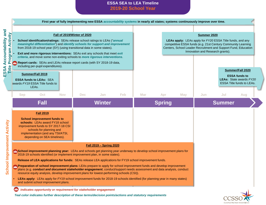#### **ESSA SEA to LEA Timeline 2019-20 School Year**

|                                                                                                                                                                                                                                                                                                                                                                                                                                                                                                                                                                                                                                                                              |                                                                                                                                                                                                                                   |                                                                                                                                                                                                                                                                                                                                                                                                                                                                                                                |            | First year of fully implementing new ESSA accountability systems in nearly all states; systems continuously improve over time. |     |            |               |            |                                                                                                                                                                                                                                                |               |                                                                                                         |
|------------------------------------------------------------------------------------------------------------------------------------------------------------------------------------------------------------------------------------------------------------------------------------------------------------------------------------------------------------------------------------------------------------------------------------------------------------------------------------------------------------------------------------------------------------------------------------------------------------------------------------------------------------------------------|-----------------------------------------------------------------------------------------------------------------------------------------------------------------------------------------------------------------------------------|----------------------------------------------------------------------------------------------------------------------------------------------------------------------------------------------------------------------------------------------------------------------------------------------------------------------------------------------------------------------------------------------------------------------------------------------------------------------------------------------------------------|------------|--------------------------------------------------------------------------------------------------------------------------------|-----|------------|---------------|------------|------------------------------------------------------------------------------------------------------------------------------------------------------------------------------------------------------------------------------------------------|---------------|---------------------------------------------------------------------------------------------------------|
| <b>Program Activity</b><br>122                                                                                                                                                                                                                                                                                                                                                                                                                                                                                                                                                                                                                                               | including per-pupil expenditures).                                                                                                                                                                                                | Fall of 2019/Winter of 2020<br>School identification/ratings: SEAs release school ratings to LEAs ("annual<br>meaningful differentiation") and identify schools for support and improvement<br>from 2018-19 school year (SY) (using transitional data in some states).<br>Exit and more rigorous interventions: SEAs exit any schools that meet exit<br>criteria, and move some non-exiting schools to more rigorous interventions.<br>Report cards: SEAs and LEAs release report cards (with SY 2018-19 data, |            |                                                                                                                                |     |            |               |            | Summer 2020<br>LEAs apply: LEAs apply for FY20 ESSA Title funds, and any<br>competitive ESSA funds (e.g. 21st Century Community Learning<br>Centers, School Leader Recruitment and Support Fund, Education<br>Innovation and Research grants). |               |                                                                                                         |
| Title                                                                                                                                                                                                                                                                                                                                                                                                                                                                                                                                                                                                                                                                        | Summer/Fall 2019<br><b>ESSA funds to LEAs: SEA</b><br>awards FY19 ESSA Title funds to<br>LEAs.                                                                                                                                    |                                                                                                                                                                                                                                                                                                                                                                                                                                                                                                                |            |                                                                                                                                |     |            |               |            |                                                                                                                                                                                                                                                |               | Summer/Fall 2020<br><b>ESSA funds to</b><br><b>LEAs:</b> State awards FY20<br>ESSA Title funds to LEAs. |
| <b>Sep</b>                                                                                                                                                                                                                                                                                                                                                                                                                                                                                                                                                                                                                                                                   | Oct                                                                                                                                                                                                                               | <b>Nov</b>                                                                                                                                                                                                                                                                                                                                                                                                                                                                                                     | <b>Dec</b> | Jan                                                                                                                            | Feb | <b>Mar</b> | Apr           | <b>May</b> | <b>Jun</b>                                                                                                                                                                                                                                     | Jul           | Aug                                                                                                     |
|                                                                                                                                                                                                                                                                                                                                                                                                                                                                                                                                                                                                                                                                              | <b>Fall</b>                                                                                                                                                                                                                       |                                                                                                                                                                                                                                                                                                                                                                                                                                                                                                                |            | <b>Winter</b>                                                                                                                  |     |            | <b>Spring</b> |            |                                                                                                                                                                                                                                                | <b>Summer</b> |                                                                                                         |
|                                                                                                                                                                                                                                                                                                                                                                                                                                                                                                                                                                                                                                                                              | <b>Fall 2019</b><br><b>School improvement funds to</b><br>schools: LEAs award FY18 school<br>improvement funds to SY 2017-18 CSI<br>schools for planning and<br>implementation (and any TSI/ATSI,<br>depending on SEA timelines). |                                                                                                                                                                                                                                                                                                                                                                                                                                                                                                                |            |                                                                                                                                |     |            |               |            |                                                                                                                                                                                                                                                |               |                                                                                                         |
|                                                                                                                                                                                                                                                                                                                                                                                                                                                                                                                                                                                                                                                                              |                                                                                                                                                                                                                                   |                                                                                                                                                                                                                                                                                                                                                                                                                                                                                                                |            | <b>Fall 2019 - Spring 2020</b>                                                                                                 |     |            |               |            |                                                                                                                                                                                                                                                |               |                                                                                                         |
| <b>An School improvement planning year:</b> LEAs and schools get planning year underway to develop school improvement plans for<br>2018-19 schools identified (or implement improvement plan, in some states).<br>Release of LEA applications for funds: SEAs release LEA applications for FY19 school improvement funds.<br><b>Preparation of school improvement plans:</b> LEAs prepare to apply for school improvement funds and develop improvement<br>plans (e.g. conduct and document stakeholder engagement, conduct/support needs assessment and data analysis, conduct<br>resource equity analysis, develop improvement plans for lowest-performing schools (CSI)). |                                                                                                                                                                                                                                   |                                                                                                                                                                                                                                                                                                                                                                                                                                                                                                                |            |                                                                                                                                |     |            |               |            |                                                                                                                                                                                                                                                |               |                                                                                                         |
|                                                                                                                                                                                                                                                                                                                                                                                                                                                                                                                                                                                                                                                                              | LEAs apply: LEAs apply for FY19 school improvement funds for 2018-19 schools identified (for planning year in many states)<br>and submit school improvement plans.                                                                |                                                                                                                                                                                                                                                                                                                                                                                                                                                                                                                |            |                                                                                                                                |     |            |               |            |                                                                                                                                                                                                                                                |               |                                                                                                         |
| $\mathbf{H}$                                                                                                                                                                                                                                                                                                                                                                                                                                                                                                                                                                                                                                                                 | indicates opportunity or requirement for stakeholder engagement<br>Teal color indicates further description of these terms/decision points/actions and statutory requirements                                                     |                                                                                                                                                                                                                                                                                                                                                                                                                                                                                                                |            |                                                                                                                                |     |            |               |            |                                                                                                                                                                                                                                                |               |                                                                                                         |

Council of Chief State School Officers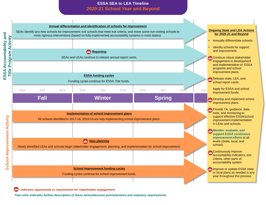#### **ESSA SEA to LEA Timeline 2020-21 School Year and Beyond**



 $257$ *indicates opportunity or requirement for stakeholder engagement*

*Teal color indicates further description of these terms/decision points/actions and statutory requirements*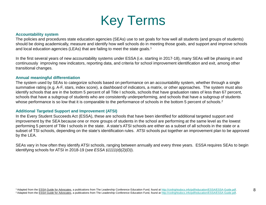

#### **Accountability system**

The policies and procedures state education agencies (SEAs) use to set goals for how well all students (and groups of students) should be doing academically, measure and identify how well schools do in meeting those goals, and support and improve schools and local education agencies (LEAs) that are failing to meet the state goals.<sup>1</sup>

In the first several years of new accountability systems under ESSA (i.e. starting in 2017-18), many SEAs will be phasing in and continuously improving new indicators, reporting data, and criteria for school improvement identification and exit, among other transitional changes.

#### **Annual meaningful differentiation**

The system used by SEAs to categorize schools based on performance on an accountability system, whether through a single summative rating (e.g. A-F, stars, index score), a dashboard of indicators, a matrix, or other approaches. The system must also identify schools that are in the bottom 5 percent of all Title I schools, schools that have graduation rates of less than 67 percent, schools that have a subgroup of students who are consistently underperforming, and schools that have a subgroup of students whose performance is so low that it is comparable to the performance of schools in the bottom 5 percent of schools.<sup>2</sup>

#### **Additional Targeted Support and Improvement (ATSI)**

In the Every Student Succeeds Act (ESSA), these are schools that have been identified for additional targeted support and improvement by the SEA because one or more groups of students in the school are performing at the same level as the lowest performing 5 percent of Title I schools in the state. A state's ATSI schools are either as a subset of all schools in the state or a subset of TSI schools, depending on the state's identification rules. ATSI schools put together an improvement plan to be approved by the LEA.

SEAs vary in how often they identify ATSI schools, ranging between annually and every three years. ESSA requires SEAs to begin identifying schools for ATSI in 2018-19 (*see ESSA §1111(d)(2)(D)*).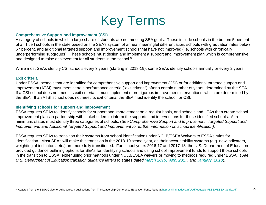

#### **Comprehensive Support and Improvement (CSI)**

A category of schools in which a large share of students are not meeting SEA goals. These include schools in the bottom 5 percent of all Title I schools in the state based on the SEA's system of annual meaningful differentiation, schools with graduation rates below 67 percent, and additional targeted support and improvement schools that have not improved (i.e. schools with chronically underperforming subgroups). These schools must design and implement a support and improvement plan which is comprehensive and designed to raise achievement for all students in the school.3

While most SEAs identify CSI schools every 3 years (starting in 2018-19), some SEAs identify schools annually or every 2 years.

#### **Exit criteria**

Under ESSA, schools that are identified for comprehensive support and improvement (CSI) or for additional targeted support and improvement (ATSI) must meet certain performance criteria ("exit criteria") after a certain number of years, determined by the SEA. If a CSI school does not meet its exit criteria, it must implement more rigorous improvement interventions, which are determined by the SEA. If an ATSI school does not meet its exit criteria, the SEA must identify the school for CSI.

#### **Identifying schools for support and improvement**

ESSA requires SEAs to identify schools for support and improvement on a regular basis, and schools and LEAs then create school improvement plans in partnership with stakeholders to inform the supports and interventions for those identified schools. At a minimum, states must identify three categories of schools. (*See Comprehensive Support and Improvement, Targeted Support and Improvement, and Additional Targeted Support and Improvement for further information on school identification).* 

ESSA requires SEAs to transition their systems from school identification under NCLB/ESEA Waivers to ESSA's rules for identification. Most SEAs will make this transition in the 2018-19 school year, as their accountability systems (e.g. new indicators, weighting of indicators, etc.) are more fully transitioned. For school years 2016-17 and 2017-18, the U.S. Department of Education provided guidance outlining options for SEAs for identifying schools and using school improvement funds to support those schools in the transition to ESSA, either using prior methods under NCLB/ESEA waivers or moving to methods required under ESSA. (*See U.S. Department of Education transition guidance letters to states dated [March 2016,](https://www2.ed.gov/programs/sif/sigdirapplicationltr3292016.pdf) [April 2017,](https://www2.ed.gov/policy/elsec/leg/essa/dcltr410207.pdf) and [January 2018](https://www2.ed.gov/policy/elsec/leg/essa/sigflexibilitiesdci.pdf)*).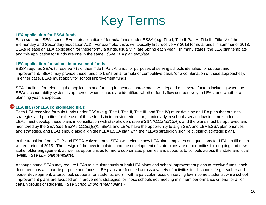

#### **LEA application for ESSA funds**

Each summer, SEAs send LEAs their allocation of formula funds under ESSA (e.g. Title I, Title II Part A, Title III, Title IV of the Elementary and Secondary Education Act). For example, LEAs will typically first receive FY 2018 formula funds in summer of 2018. SEAs release an LEA application for these formula funds, usually in late Spring each year. In many states, the LEA plan template and this application for funds are one in the same. *(See LEA plan template.)* 

#### **LEA application for school improvement funds**

ESSA requires SEAs to reserve 7% of their Title I, Part A funds for purposes of serving schools identified for support and improvement. SEAs may provide these funds to LEAs on a formula or competitive basis (or a combination of these approaches). In either case, LEAs must apply for school improvement funds.

SEA timelines for releasing the application and funding for school improvement will depend on several factors including when the SEA's accountability system is approved, when schools are identified, whether funds flow competitively to LEAs, and whether a planning year is expected.

#### **LEA plan (or LEA consolidated plan)**

Each LEA receiving formula funds under ESSA (e.g. Title I, Title II, Title III, and Title IV) must develop an LEA plan that outlines strategies and priorities for the use of those funds in improving education, particularly in schools serving low-income students. LEAs must develop these plans in consultation with stakeholders (*see ESSA §1112(a)(1)(A)*), and the plans must be approved and monitored by the SEA (*see ESSA §1112(a)(3)*). SEAs and LEAs have the opportunity to align SEA and LEA ESSA plan priorities and strategies, and LEAs should also align their LEA ESSA plan with their LEA's strategic vision (e.g. district strategic plan).

In the transition from NCLB and ESEA waivers, most SEAs will release new LEA plan templates and questions for LEAs to fill out in winter/spring of 2018. The design of the new templates and the development of state plans are opportunities for ongoing and new stakeholder engagement, as well as opportunities for more coordinated priorities and supports to schools across the state and local levels. (*See LEA plan template*).

Although some SEAs may require LEAs to simultaneously submit LEA plans and school improvement plans to receive funds, each document has a separate purpose and focus: LEA plans are focused across a variety of activities in all schools (e.g. teacher and leader development, afterschool, supports for students, etc.) – with a particular focus on serving low-income students, while school improvement plans are focused on improvement strategies for those schools not meeting minimum performance criteria for all or certain groups of students. (*See School improvement plans*.)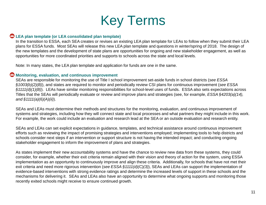

#### **LEA plan template (or LEA consolidated plan template)**

In the transition to ESSA, each SEA creates or revises an existing LEA plan template for LEAs to follow when they submit their LEA plans for ESSA funds. Most SEAs will release this new LEA plan template and questions in winter/spring of 2018. The design of the new templates and the development of state plans are opportunities for ongoing and new stakeholder engagement, as well as opportunities for more coordinated priorities and supports to schools across the state and local levels.

Note: In many states, the LEA plan template and application for funds are one in the same.

#### **Monitoring, evaluation, and continuous improvement**

SEAs are responsible for monitoring the use of Title I school improvement set-aside funds in school districts (*see ESSA §1003(b)(2)(B)*), and states are required to monitor and periodically review CSI plans for continuous improvement (*see ESSA §1111(d)(1)(B)*). LEAs have similar monitoring responsibilities for school-level uses of funds. ESSA also sets expectations across Titles that the SEAs will periodically evaluate or review and improve plans and strategies (see, for example, *ESSA §4203(a)(14), and §1111(a)(6)(A)(ii)*).

SEAs and LEAs must determine their methods and structures for the monitoring, evaluation, and continuous improvement of systems and strategies, including how they will connect state and local processes and what partners they might include in this work. For example, the work could include an evaluation and research lead at the SEA or an outside evaluation and research entity.

SEAs and LEAs can set explicit expectations in guidance, templates, and technical assistance around continuous improvement efforts such as reviewing the impact of promising strategies and interventions employed; implementing tools to help districts and schools consider next steps if an intervention or support structure is not having the intended impact; and conducting ongoing stakeholder engagement to inform the improvement of plans and strategies.

As states implement their new accountability systems and have the chance to review new data from these systems, they could consider, for example, whether their exit criteria remain aligned with their vision and theory of action for the system, using ESSA implementation as an opportunity to continuously improve and align these criteria. Additionally, for schools that have not met their exit criteria and need more rigorous intervention (*see ESSA §1111(d)(C)(3)*), SEAs and LEAs can support the implementation of evidence-based interventions with strong evidence ratings and determine the increased levels of support in these schools and the mechanisms for delivering it. SEAs and LEAs also have an opportunity to determine what ongoing supports and monitoring those recently exited schools might receive to ensure continued growth.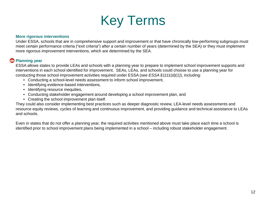

#### **More rigorous interventions**

Under ESSA, schools that are in comprehensive support and improvement or that have chronically low-performing subgroups must meet certain performance criteria ("exit criteria") after a certain number of years (determined by the SEA) or they must implement more rigorous improvement interventions, which are determined by the SEA.

#### **Planning year**

ESSA allows states to provide LEAs and schools with a planning year to prepare to implement school improvement supports and interventions in each school identified for improvement. SEAs, LEAs, and schools could choose to use a planning year for conducting those school improvement activities required under ESSA (see *ESSA §1111(d)(1)*), including:

- Conducting a school-level needs assessment to inform school improvement,
- Identifying evidence-based interventions,
- Identifying resource inequities,
- Conducting stakeholder engagement around developing a school improvement plan, and
- Creating the school improvement plan itself.

They could also consider implementing best practices such as deeper diagnostic review, LEA-level needs assessments and resource equity reviews, cycles of learning and continuous improvement, and providing guidance and technical assistance to LEAs and schools.

Even in states that do not offer a planning year, the required activities mentioned above must take place each time a school is identified prior to school improvement plans being implemented in a school – including robust stakeholder engagement.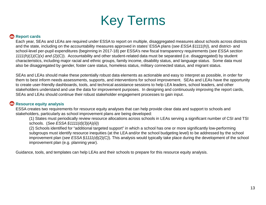## Key Terms

#### **Report cards**

Each year, SEAs and LEAs are required under ESSA to report on multiple, disaggregated measures about schools across districts and the state, including on the accountability measures approved in states' ESSA plans (*see ESSA §1111(h)*), and district- and school-level per-pupil expenditures (beginning in 2017-18) per ESSA's new fiscal transparency requirements (*see ESSA section 1111(h)(1)(C)(x) and (2)(C)*). Accountability and other student-related data must be separated (i.e. disaggregated) by student characteristics, including major racial and ethnic groups, family income, disability status, and language status. Some data must also be disaggregated by gender, foster care status, homeless status, military connected status, and migrant status.

SEAs and LEAs should make these potentially robust data elements as actionable and easy to interpret as possible, in order for them to best inform needs assessments, supports, and interventions for school improvement. SEAs and LEAs have the opportunity to create user-friendly dashboards, tools, and technical assistance sessions to help LEA leaders, school leaders, and other stakeholders understand and use the data for improvement purposes. In designing and continuously improving the report cards, SEAs and LEAs should continue their robust stakeholder engagement processes to gain input.

#### **Resource equity analysis**

ESSA creates two requirements for resource equity analyses that can help provide clear data and support to schools and stakeholders, particularly as school improvement plans are being developed:

(1) States must periodically review resource allocations across schools in LEAs serving a significant number of CSI and TSI schools. (*See ESSA §1111(d)(3)(A)(ii)*)

(2) Schools identified for "additional targeted support" in which a school has one or more significantly low-performing subgroups must identify resource inequities (at the LEA and/or the school budgeting level) to be addressed by the school improvement plan (*see ESSA §1111(d)(2)(C)*). This analysis would typically take place during the development of the school improvement plan (e.g. planning year).

Guidance, tools, and templates can help LEAs and their schools to prepare for this resource equity analysis.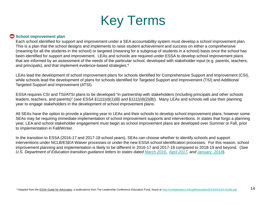

#### **B** School improvement plan

Each school identified for support and improvement under a SEA accountability system must develop a school improvement plan. This is a plan that the school designs and implements to raise student achievement and success on either a comprehensive (meaning for all the students in the school) or targeted (meaning for a subgroup of students in a school) basis once the school has been identified for support and improvement. LEAs and schools are required under ESSA to develop school improvement plans that are informed by an assessment of the needs of the particular school, developed with stakeholder input (e.g. parents, teachers, and principals), and that implement evidence-based strategies.4

LEAs lead the development of school improvement plans for schools identified for Comprehensive Support and Improvement (CSI), while schools lead the development of plans for schools identified for Targeted Support and Improvement (TSI) and Additional Targeted Support and Improvement (ATSI).

ESSA requires CSI and TSI/ATSI plans to be developed "in partnership with stakeholders (including principals and other schools leaders, teachers, and parents)" (*see ESSA §1111(d)(1)(B) and §1111(d)(2)(B)*). Many LEAs and schools will use their planning year to engage stakeholders in the development of school improvement plans.

All SEAs have the option to provide a planning year to LEAs and their schools to develop school improvement plans; however some SEAs may be requiring immediate implementation of school improvement supports and interventions. In states that forgo a planning year, LEA and school stakeholder engagement must begin as school improvement plans are developed over Summer or Fall, prior to implementation in Fall/Winter.

In the transition to ESSA (2016-17 and 2017-18 school years), SEAs can choose whether to identify schools and support interventions under NCLB/ESEA Waiver processes or under the new ESSA school identification processes. For this reason, school improvement planning and implementation is likely to be different in 2016-17 and 2017-18 compared to 2018-19 and beyond. (*See U.S. Department of Education transition guidance letters to states dated [March 2016,](https://www2.ed.gov/programs/sif/sigdirapplicationltr3292016.pdf) [April 2017,](https://www2.ed.gov/policy/elsec/leg/essa/dcltr410207.pdf) and [January 2018](https://www2.ed.gov/policy/elsec/leg/essa/sigflexibilitiesdci.pdf)*).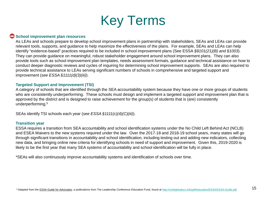

#### **B** School improvement plan resources

As LEAs and schools prepare to develop school improvement plans in partnership with stakeholders, SEAs and LEAs can provide relevant tools, supports, and guidance to help maximize the effectiveness of the plans. For example, SEAs and LEAs can help identify "evidence-based" practices required to be included in school improvement plans (See ESSA *§8101(21)(B) and §1003*). They can provide guidance on meaningful, robust stakeholder engagement around school improvement plans. They can also provide tools such as school improvement plan templates, needs assessment formats, guidance and technical assistance on how to conduct deeper diagnostic reviews and cycles of inquiring for determining school improvement supports. SEAs are also required to provide technical assistance to LEAs serving significant numbers of schools in comprehensive and targeted support and improvement (*see ESSA §1111(d)(3)(iii)*).

#### **Targeted Support and Improvement (TSI)**

A category of schools that are identified through the SEA accountability system because they have one or more groups of students who are consistently underperforming. These schools must design and implement a targeted support and improvement plan that is approved by the district and is designed to raise achievement for the group(s) of students that is (are) consistently underperforming.5

SEAs identify TSI schools each year (*see ESSA §1111(c)(4)(C)(iii)*).

#### **Transition year**

ESSA requires a transition from SEA accountability and school identification systems under the No Child Left Behind Act (NCLB) and ESEA Waivers to the new systems required under the law. Over the 2017-18 and 2018-19 school years, many states will go through significant transitions in accountability and school identification, including testing out and adding new indicators, collecting new data, and bringing online new criteria for identifying schools in need of support and improvement. Given this, 2019-2020 is likely to be the first year that many SEA systems of accountability and school identification will be fully in place.

\*SEAs will also continuously improve accountability systems and identification of schools over time.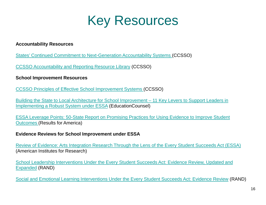

#### **Accountability Resources**

[States' Continued Commitment to Next-Generation Accountability Systems](https://www.ccsso.org/sites/default/files/2017-12/CCSSO%20Accountabilty%20Principles.pdf) (CCSSO)

[CCSSO Accountability and Reporting Resource Library](https://resourcelibrary.ccsso.org/) (CCSSO)

#### **School Improvement Resources**

[CCSSO Principles of Effective School Improvement Systems](https://www.ccsso.org/resource-library/ccsso-principles-effective-school-improvement-systems) (CCSSO)

[Building the State to Local Architecture for School Improvement –](http://educationcounsel.com/?publication=building-state-local-architecture-school-improvement) 11 Key Levers to Support Leaders in Implementing a Robust System under ESSA (EducationCounsel)

[ESSA Leverage Points: 50-State Report on Promising Practices for Using Evidence to Improve Student](https://results4america.org/wp-content/uploads/2018/01/RFA-ESSA-50-State-Report_final.pdf) Outcomes (Results for America)

#### **Evidence Reviews for School Improvement under ESSA**

[Review of Evidence: Arts Integration Research Through the Lens of the Every Student Succeeds Act \(ESSA\)](http://www.wallacefoundation.org/knowledge-center/pages/essa-arts-evidence-review-report.aspx) (American Institutes for Research)

[School Leadership Interventions Under the Every Student Succeeds Act: Evidence Review, Updated and](http://www.wallacefoundation.org/knowledge-center/pages/school-leadership-interventions-every-student-succeeds-act-volume-1.aspx) Expanded (RAND)

[Social and Emotional Learning Interventions Under the Every Student Succeeds Act: Evidence Review](http://www.wallacefoundation.org/knowledge-center/pages/sel-interventions-under-essa-evidence-review.aspx) (RAND)